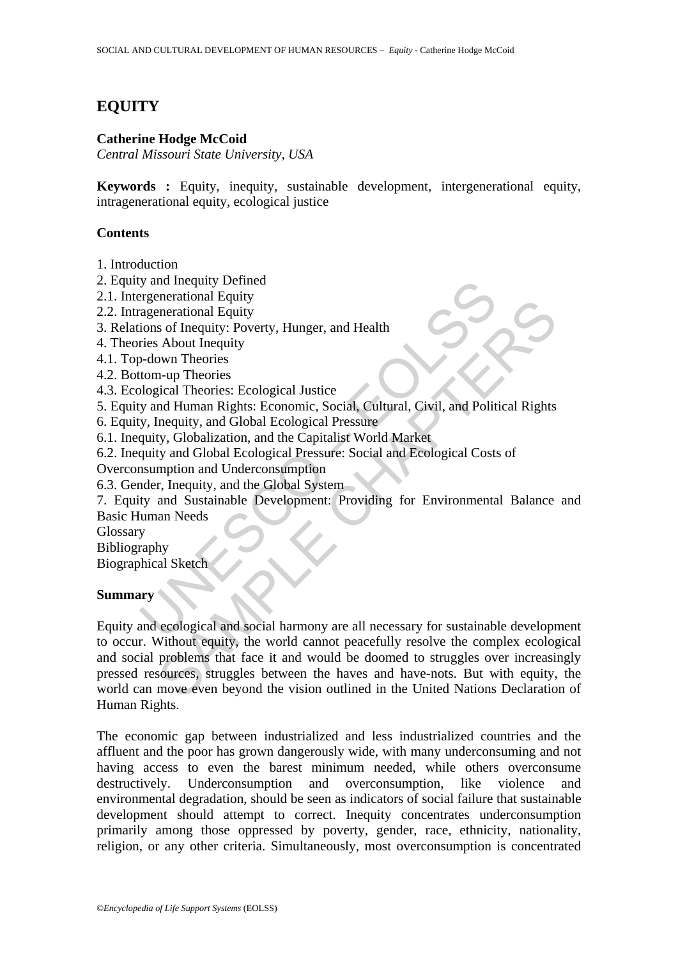# **EQUITY**

### **Catherine Hodge McCoid**

*Central Missouri State University, USA* 

**Keywords :** Equity, inequity, sustainable development, intergenerational equity, intragenerational equity, ecological justice

### **Contents**

1. Introduction

- 2. Equity and Inequity Defined
- 2.1. Intergenerational Equity
- 2.2. Intragenerational Equity
- 3. Relations of Inequity: Poverty, Hunger, and Health
- 4. Theories About Inequity
- 4.1. Top-down Theories
- 4.2. Bottom-up Theories
- 4.3. Ecological Theories: Ecological Justice
- 5. Equity and Human Rights: Economic, Social, Cultural, Civil, and Political Rights
- 6. Equity, Inequity, and Global Ecological Pressure
- 6.1. Inequity, Globalization, and the Capitalist World Market
- 6.2. Inequity and Global Ecological Pressure: Social and Ecological Costs of
- Overconsumption and Underconsumption
- 6.3. Gender, Inequity, and the Global System

Manuscript Schement and Equity<br>
agenerational Equity<br>
agenerational Equity<br>
agenerational Equity<br>
ions of Inequity: Poverty, Hunger, and Health<br>
ries About Inequity<br>
Dological Theories:<br>
US-down Theories<br>
y and Human Right 7. Equity and Sustainable Development: Providing for Environmental Balance and Basic Human Needs

Glossary

Bibliography

Biographical Sketch

#### **Summary**

Encantar Equivy<br>
Sof Inequity: Poverty, Hunger, and Health<br>
Some merational Equity<br>
Sof Inequity: Poverty, Hunger, and Health<br>
About Inequity<br>
and Human Rights: Economic, Social, Cultural, Civil, and Political Rights<br>
Ineq Equity and ecological and social harmony are all necessary for sustainable development to occur. Without equity, the world cannot peacefully resolve the complex ecological and social problems that face it and would be doomed to struggles over increasingly pressed resources, struggles between the haves and have-nots. But with equity, the world can move even beyond the vision outlined in the United Nations Declaration of Human Rights.

The economic gap between industrialized and less industrialized countries and the affluent and the poor has grown dangerously wide, with many underconsuming and not having access to even the barest minimum needed, while others overconsume destructively. Underconsumption and overconsumption, like violence and environmental degradation, should be seen as indicators of social failure that sustainable development should attempt to correct. Inequity concentrates underconsumption primarily among those oppressed by poverty, gender, race, ethnicity, nationality, religion, or any other criteria. Simultaneously, most overconsumption is concentrated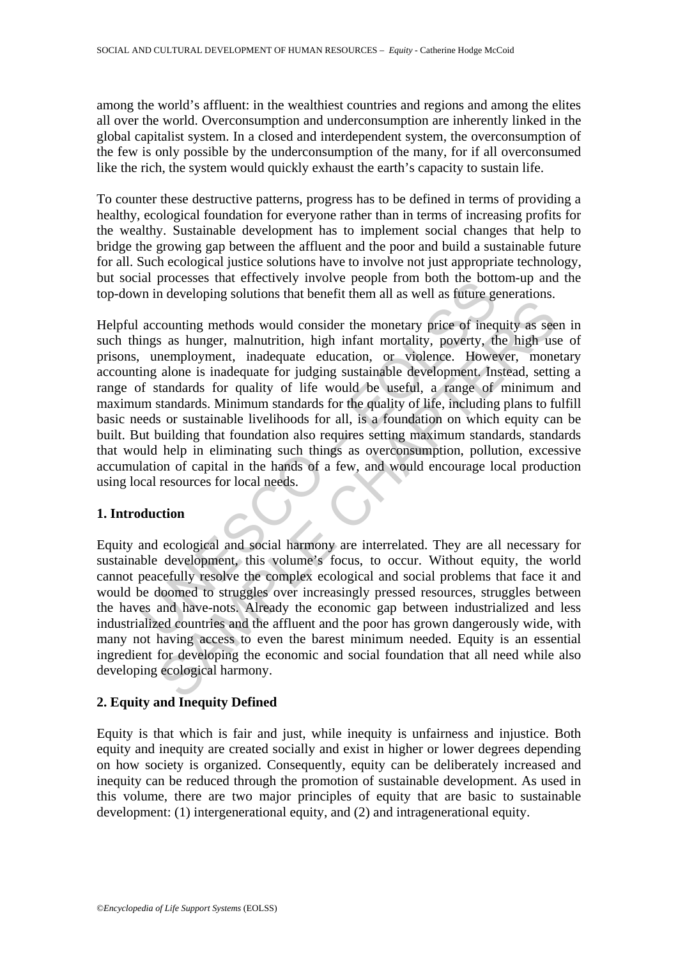among the world's affluent: in the wealthiest countries and regions and among the elites all over the world. Overconsumption and underconsumption are inherently linked in the global capitalist system. In a closed and interdependent system, the overconsumption of the few is only possible by the underconsumption of the many, for if all overconsumed like the rich, the system would quickly exhaust the earth's capacity to sustain life.

To counter these destructive patterns, progress has to be defined in terms of providing a healthy, ecological foundation for everyone rather than in terms of increasing profits for the wealthy. Sustainable development has to implement social changes that help to bridge the growing gap between the affluent and the poor and build a sustainable future for all. Such ecological justice solutions have to involve not just appropriate technology, but social processes that effectively involve people from both the bottom-up and the top-down in developing solutions that benefit them all as well as future generations.

and processes that enectrively invoive people non both the both<br>In in developing solutions that benefit them all as well as future governing methods would consider the monetary price of ineq<br>ings as hunger, malnutrition, h Example methods would consider the monetary price of inequity as ses<br>as hanger, malautrition, high infant mortality, poverty, the high uss<br>nemployment, inadequate education, or violence. However, mone<br>alone is inadequate f Helpful accounting methods would consider the monetary price of inequity as seen in such things as hunger, malnutrition, high infant mortality, poverty, the high use of prisons, unemployment, inadequate education, or violence. However, monetary accounting alone is inadequate for judging sustainable development. Instead, setting a range of standards for quality of life would be useful, a range of minimum and maximum standards. Minimum standards for the quality of life, including plans to fulfill basic needs or sustainable livelihoods for all, is a foundation on which equity can be built. But building that foundation also requires setting maximum standards, standards that would help in eliminating such things as overconsumption, pollution, excessive accumulation of capital in the hands of a few, and would encourage local production using local resources for local needs.

#### **1. Introduction**

Equity and ecological and social harmony are interrelated. They are all necessary for sustainable development, this volume's focus, to occur. Without equity, the world cannot peacefully resolve the complex ecological and social problems that face it and would be doomed to struggles over increasingly pressed resources, struggles between the haves and have-nots. Already the economic gap between industrialized and less industrialized countries and the affluent and the poor has grown dangerously wide, with many not having access to even the barest minimum needed. Equity is an essential ingredient for developing the economic and social foundation that all need while also developing ecological harmony.

## **2. Equity and Inequity Defined**

Equity is that which is fair and just, while inequity is unfairness and injustice. Both equity and inequity are created socially and exist in higher or lower degrees depending on how society is organized. Consequently, equity can be deliberately increased and inequity can be reduced through the promotion of sustainable development. As used in this volume, there are two major principles of equity that are basic to sustainable development: (1) intergenerational equity, and (2) and intragenerational equity.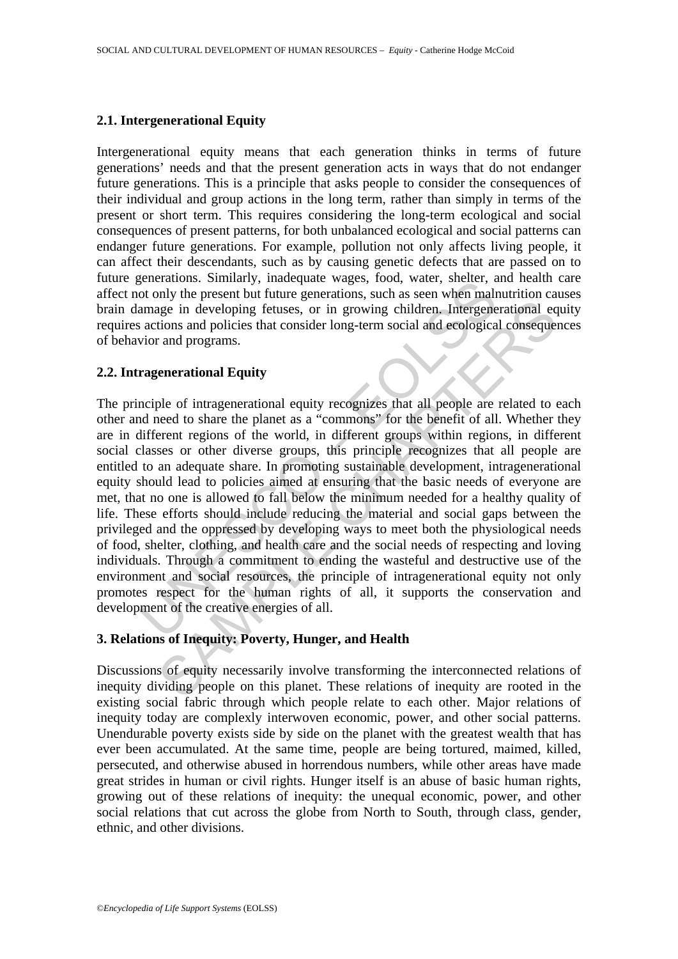#### **2.1. Intergenerational Equity**

Intergenerational equity means that each generation thinks in terms of future generations' needs and that the present generation acts in ways that do not endanger future generations. This is a principle that asks people to consider the consequences of their individual and group actions in the long term, rather than simply in terms of the present or short term. This requires considering the long-term ecological and social consequences of present patterns, for both unbalanced ecological and social patterns can endanger future generations. For example, pollution not only affects living people, it can affect their descendants, such as by causing genetic defects that are passed on to future generations. Similarly, inadequate wages, food, water, shelter, and health care affect not only the present but future generations, such as seen when malnutrition causes brain damage in developing fetuses, or in growing children. Intergenerational equity requires actions and policies that consider long-term social and ecological consequences of behavior and programs.

#### **2.2. Intragenerational Equity**

exercitations. Similarly, inacteduate wages, bood, water, sincerial<br>of only the present but future generations, such as seen when male<br>amage in developing fetuses, or in growing children. Intergene<br>actions and policies tha ingle in developing fetuses, or in growing children. Intergenerational equitions and policies that consider long-term social and ecological consequent and programs.<br> **Exercution** and programs.<br> **Exercution Equity**<br>
ple of The principle of intragenerational equity recognizes that all people are related to each other and need to share the planet as a "commons" for the benefit of all. Whether they are in different regions of the world, in different groups within regions, in different social classes or other diverse groups, this principle recognizes that all people are entitled to an adequate share. In promoting sustainable development, intragenerational equity should lead to policies aimed at ensuring that the basic needs of everyone are met, that no one is allowed to fall below the minimum needed for a healthy quality of life. These efforts should include reducing the material and social gaps between the privileged and the oppressed by developing ways to meet both the physiological needs of food, shelter, clothing, and health care and the social needs of respecting and loving individuals. Through a commitment to ending the wasteful and destructive use of the environment and social resources, the principle of intragenerational equity not only promotes respect for the human rights of all, it supports the conservation and development of the creative energies of all.

#### **3. Relations of Inequity: Poverty, Hunger, and Health**

Discussions of equity necessarily involve transforming the interconnected relations of inequity dividing people on this planet. These relations of inequity are rooted in the existing social fabric through which people relate to each other. Major relations of inequity today are complexly interwoven economic, power, and other social patterns. Unendurable poverty exists side by side on the planet with the greatest wealth that has ever been accumulated. At the same time, people are being tortured, maimed, killed, persecuted, and otherwise abused in horrendous numbers, while other areas have made great strides in human or civil rights. Hunger itself is an abuse of basic human rights, growing out of these relations of inequity: the unequal economic, power, and other social relations that cut across the globe from North to South, through class, gender, ethnic, and other divisions.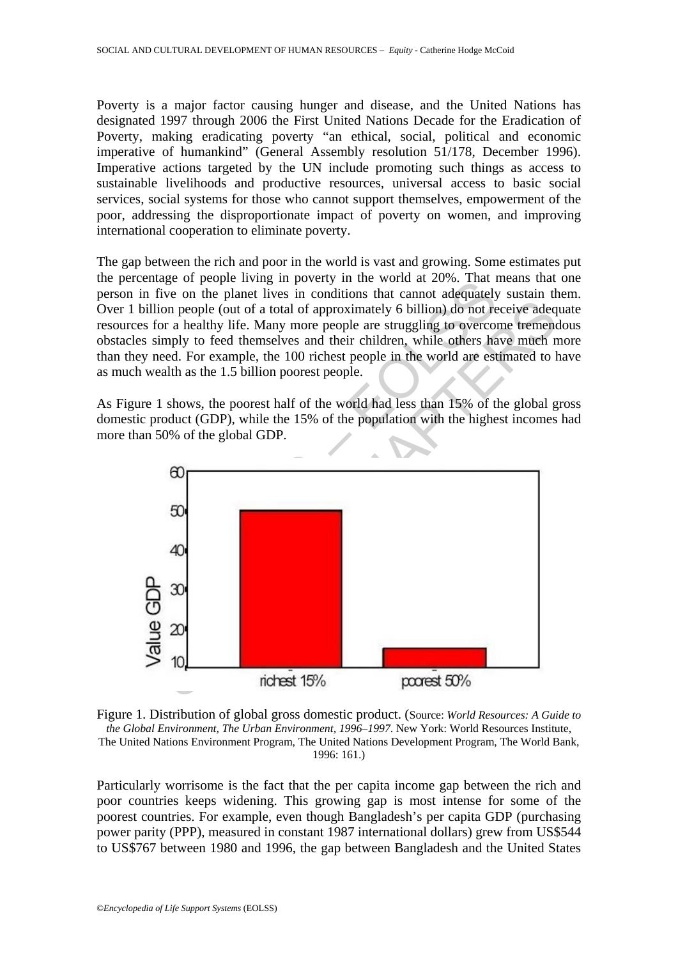Poverty is a major factor causing hunger and disease, and the United Nations has designated 1997 through 2006 the First United Nations Decade for the Eradication of Poverty, making eradicating poverty "an ethical, social, political and economic imperative of humankind" (General Assembly resolution 51/178, December 1996). Imperative actions targeted by the UN include promoting such things as access to sustainable livelihoods and productive resources, universal access to basic social services, social systems for those who cannot support themselves, empowerment of the poor, addressing the disproportionate impact of poverty on women, and improving international cooperation to eliminate poverty.

The gap between the rich and poor in the world is vast and growing. Some estimates put the percentage of people living in poverty in the world at 20%. That means that one person in five on the planet lives in conditions that cannot adequately sustain them. Over 1 billion people (out of a total of approximately 6 billion) do not receive adequate resources for a healthy life. Many more people are struggling to overcome tremendous obstacles simply to feed themselves and their children, while others have much more than they need. For example, the 100 richest people in the world are estimated to have as much wealth as the 1.5 billion poorest people.

As Figure 1 shows, the poorest half of the world had less than 15% of the global gross domestic product (GDP), while the 15% of the population with the highest incomes had more than 50% of the global GDP.



Figure 1. Distribution of global gross domestic product. (Source: *World Resources: A Guide to the Global Environment, The Urban Environment, 1996–1997*. New York: World Resources Institute, The United Nations Environment Program, The United Nations Development Program, The World Bank, 1996: 161.)

Particularly worrisome is the fact that the per capita income gap between the rich and poor countries keeps widening. This growing gap is most intense for some of the poorest countries. For example, even though Bangladesh's per capita GDP (purchasing power parity (PPP), measured in constant 1987 international dollars) grew from US\$544 to US\$767 between 1980 and 1996, the gap between Bangladesh and the United States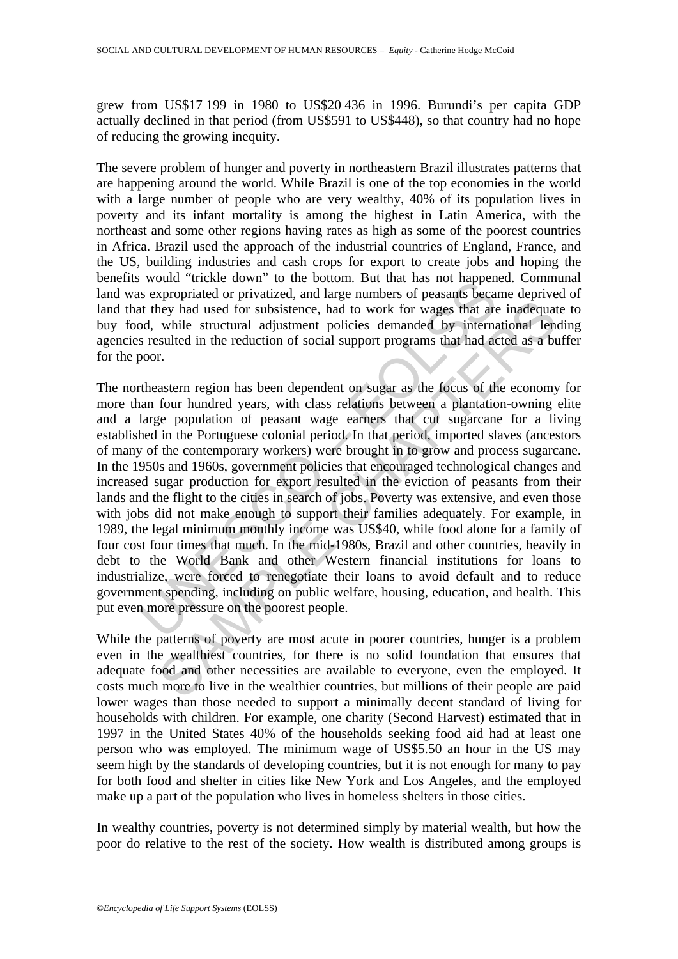grew from US\$17 199 in 1980 to US\$20 436 in 1996. Burundi's per capita GDP actually declined in that period (from US\$591 to US\$448), so that country had no hope of reducing the growing inequity.

The severe problem of hunger and poverty in northeastern Brazil illustrates patterns that are happening around the world. While Brazil is one of the top economies in the world with a large number of people who are very wealthy, 40% of its population lives in poverty and its infant mortality is among the highest in Latin America, with the northeast and some other regions having rates as high as some of the poorest countries in Africa. Brazil used the approach of the industrial countries of England, France, and the US, building industries and cash crops for export to create jobs and hoping the benefits would "trickle down" to the bottom. But that has not happened. Communal land was expropriated or privatized, and large numbers of peasants became deprived of land that they had used for subsistence, had to work for wages that are inadequate to buy food, while structural adjustment policies demanded by international lending agencies resulted in the reduction of social support programs that had acted as a buffer for the poor.

would unkele town to the bottom. But that has not they<br>as expropriated or privatized, and large numbers of peasants because<br>they had used for subsistence, had to work for wages that are<br>of, while structural adjustment poli From the state and to work for wages that are inadequated while structural adjustment policies demanded by international lensulted in the reduction of social support programs that had acted as a burst casual to the reducti The northeastern region has been dependent on sugar as the focus of the economy for more than four hundred years, with class relations between a plantation-owning elite and a large population of peasant wage earners that cut sugarcane for a living established in the Portuguese colonial period. In that period, imported slaves (ancestors of many of the contemporary workers) were brought in to grow and process sugarcane. In the 1950s and 1960s, government policies that encouraged technological changes and increased sugar production for export resulted in the eviction of peasants from their lands and the flight to the cities in search of jobs. Poverty was extensive, and even those with jobs did not make enough to support their families adequately. For example, in 1989, the legal minimum monthly income was US\$40, while food alone for a family of four cost four times that much. In the mid-1980s, Brazil and other countries, heavily in debt to the World Bank and other Western financial institutions for loans to industrialize, were forced to renegotiate their loans to avoid default and to reduce government spending, including on public welfare, housing, education, and health. This put even more pressure on the poorest people.

While the patterns of poverty are most acute in poorer countries, hunger is a problem even in the wealthiest countries, for there is no solid foundation that ensures that adequate food and other necessities are available to everyone, even the employed. It costs much more to live in the wealthier countries, but millions of their people are paid lower wages than those needed to support a minimally decent standard of living for households with children. For example, one charity (Second Harvest) estimated that in 1997 in the United States 40% of the households seeking food aid had at least one person who was employed. The minimum wage of US\$5.50 an hour in the US may seem high by the standards of developing countries, but it is not enough for many to pay for both food and shelter in cities like New York and Los Angeles, and the employed make up a part of the population who lives in homeless shelters in those cities.

In wealthy countries, poverty is not determined simply by material wealth, but how the poor do relative to the rest of the society. How wealth is distributed among groups is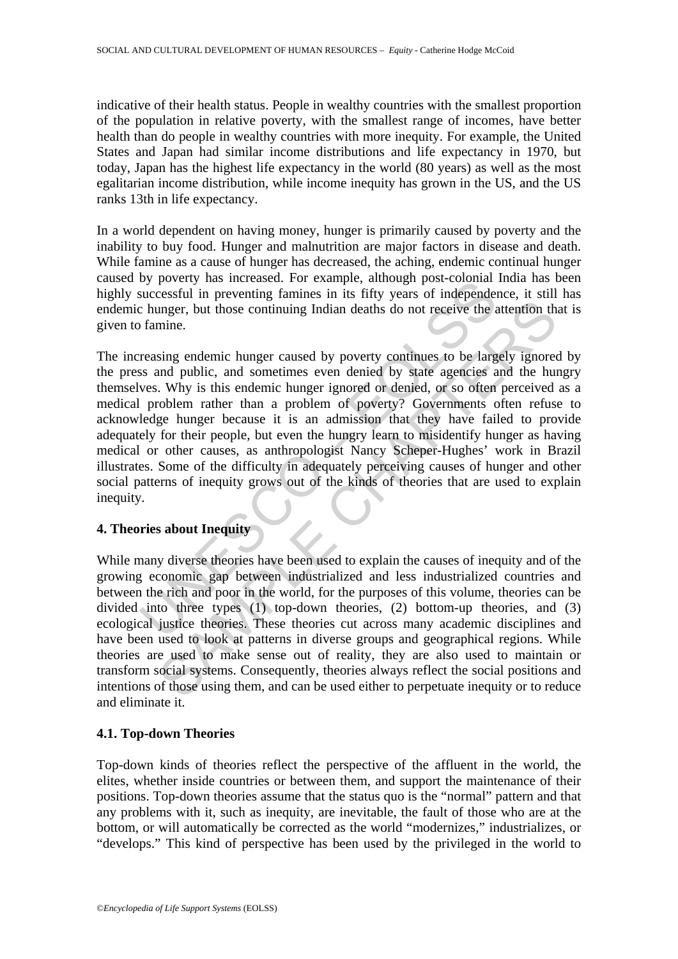indicative of their health status. People in wealthy countries with the smallest proportion of the population in relative poverty, with the smallest range of incomes, have better health than do people in wealthy countries with more inequity. For example, the United States and Japan had similar income distributions and life expectancy in 1970, but today, Japan has the highest life expectancy in the world (80 years) as well as the most egalitarian income distribution, while income inequity has grown in the US, and the US ranks 13th in life expectancy.

In a world dependent on having money, hunger is primarily caused by poverty and the inability to buy food. Hunger and malnutrition are major factors in disease and death. While famine as a cause of hunger has decreased, the aching, endemic continual hunger caused by poverty has increased. For example, although post-colonial India has been highly successful in preventing famines in its fifty years of independence, it still has endemic hunger, but those continuing Indian deaths do not receive the attention that is given to famine.

by powery has incleased. Tor example, annough post-colonar<br>successful in preventing famines in its fifty years of independent<br>changer, but those continuing Imdian deaths do not receive the z<br>formine.<br>Transition of the seco unger, but those continuing Indian deaths do not receive the attention in mine.<br>
sing endemic hunger caused by poverty continues to be largely ignore<br>
sing endemic hunger caused by poverty continues to be largely ignore<br>
a The increasing endemic hunger caused by poverty continues to be largely ignored by the press and public, and sometimes even denied by state agencies and the hungry themselves. Why is this endemic hunger ignored or denied, or so often perceived as a medical problem rather than a problem of poverty? Governments often refuse to acknowledge hunger because it is an admission that they have failed to provide adequately for their people, but even the hungry learn to misidentify hunger as having medical or other causes, as anthropologist Nancy Scheper-Hughes' work in Brazil illustrates. Some of the difficulty in adequately perceiving causes of hunger and other social patterns of inequity grows out of the kinds of theories that are used to explain inequity.

### **4. Theories about Inequity**

While many diverse theories have been used to explain the causes of inequity and of the growing economic gap between industrialized and less industrialized countries and between the rich and poor in the world, for the purposes of this volume, theories can be divided into three types (1) top-down theories, (2) bottom-up theories, and (3) ecological justice theories. These theories cut across many academic disciplines and have been used to look at patterns in diverse groups and geographical regions. While theories are used to make sense out of reality, they are also used to maintain or transform social systems. Consequently, theories always reflect the social positions and intentions of those using them, and can be used either to perpetuate inequity or to reduce and eliminate it.

#### **4.1. Top-down Theories**

Top-down kinds of theories reflect the perspective of the affluent in the world, the elites, whether inside countries or between them, and support the maintenance of their positions. Top-down theories assume that the status quo is the "normal" pattern and that any problems with it, such as inequity, are inevitable, the fault of those who are at the bottom, or will automatically be corrected as the world "modernizes," industrializes, or "develops." This kind of perspective has been used by the privileged in the world to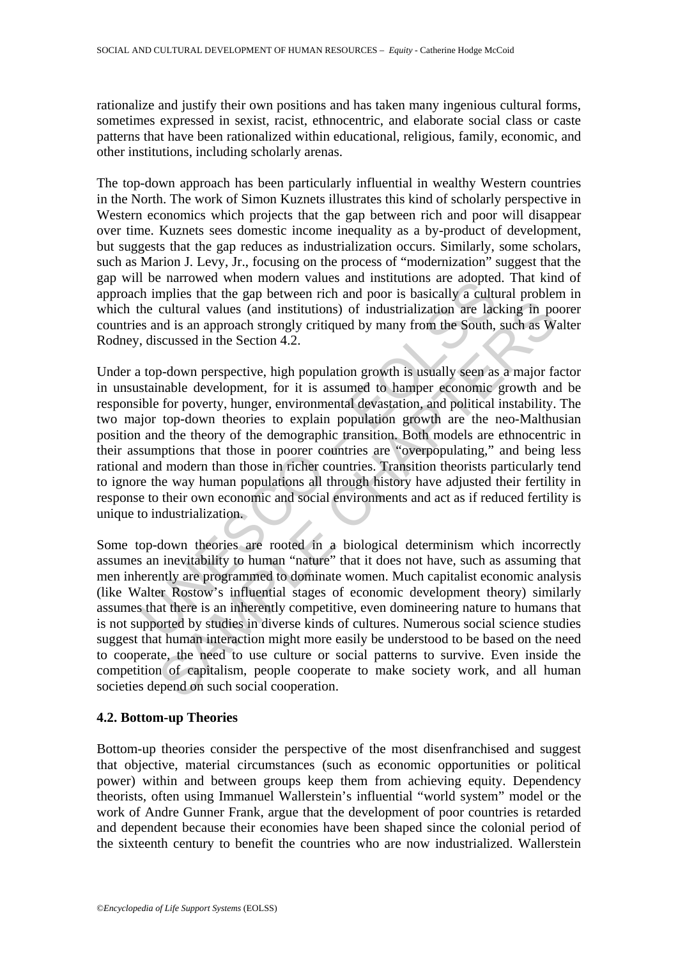rationalize and justify their own positions and has taken many ingenious cultural forms, sometimes expressed in sexist, racist, ethnocentric, and elaborate social class or caste patterns that have been rationalized within educational, religious, family, economic, and other institutions, including scholarly arenas.

The top-down approach has been particularly influential in wealthy Western countries in the North. The work of Simon Kuznets illustrates this kind of scholarly perspective in Western economics which projects that the gap between rich and poor will disappear over time. Kuznets sees domestic income inequality as a by-product of development, but suggests that the gap reduces as industrialization occurs. Similarly, some scholars, such as Marion J. Levy, Jr., focusing on the process of "modernization" suggest that the gap will be narrowed when modern values and institutions are adopted. That kind of approach implies that the gap between rich and poor is basically a cultural problem in which the cultural values (and institutions) of industrialization are lacking in poorer countries and is an approach strongly critiqued by many from the South, such as Walter Rodney, discussed in the Section 4.2.

To a nationwed with inductin vatures and instantinual and instantinual and the minimizes and institutions of industrialization are lacted the cultural values (and institutions) of industrialization are lacted as and is an cultural values (and institutions) of industrialization are lacking in pointing and is an approach strongly critiqued by many from the South, such as W.<br>
scussed in the Section 4.2.<br>
p-down perspective, high population gro Under a top-down perspective, high population growth is usually seen as a major factor in unsustainable development, for it is assumed to hamper economic growth and be responsible for poverty, hunger, environmental devastation, and political instability. The two major top-down theories to explain population growth are the neo-Malthusian position and the theory of the demographic transition. Both models are ethnocentric in their assumptions that those in poorer countries are "overpopulating," and being less rational and modern than those in richer countries. Transition theorists particularly tend to ignore the way human populations all through history have adjusted their fertility in response to their own economic and social environments and act as if reduced fertility is unique to industrialization.

Some top-down theories are rooted in a biological determinism which incorrectly assumes an inevitability to human "nature" that it does not have, such as assuming that men inherently are programmed to dominate women. Much capitalist economic analysis (like Walter Rostow's influential stages of economic development theory) similarly assumes that there is an inherently competitive, even domineering nature to humans that is not supported by studies in diverse kinds of cultures. Numerous social science studies suggest that human interaction might more easily be understood to be based on the need to cooperate, the need to use culture or social patterns to survive. Even inside the competition of capitalism, people cooperate to make society work, and all human societies depend on such social cooperation.

#### **4.2. Bottom-up Theories**

Bottom-up theories consider the perspective of the most disenfranchised and suggest that objective, material circumstances (such as economic opportunities or political power) within and between groups keep them from achieving equity. Dependency theorists, often using Immanuel Wallerstein's influential "world system" model or the work of Andre Gunner Frank, argue that the development of poor countries is retarded and dependent because their economies have been shaped since the colonial period of the sixteenth century to benefit the countries who are now industrialized. Wallerstein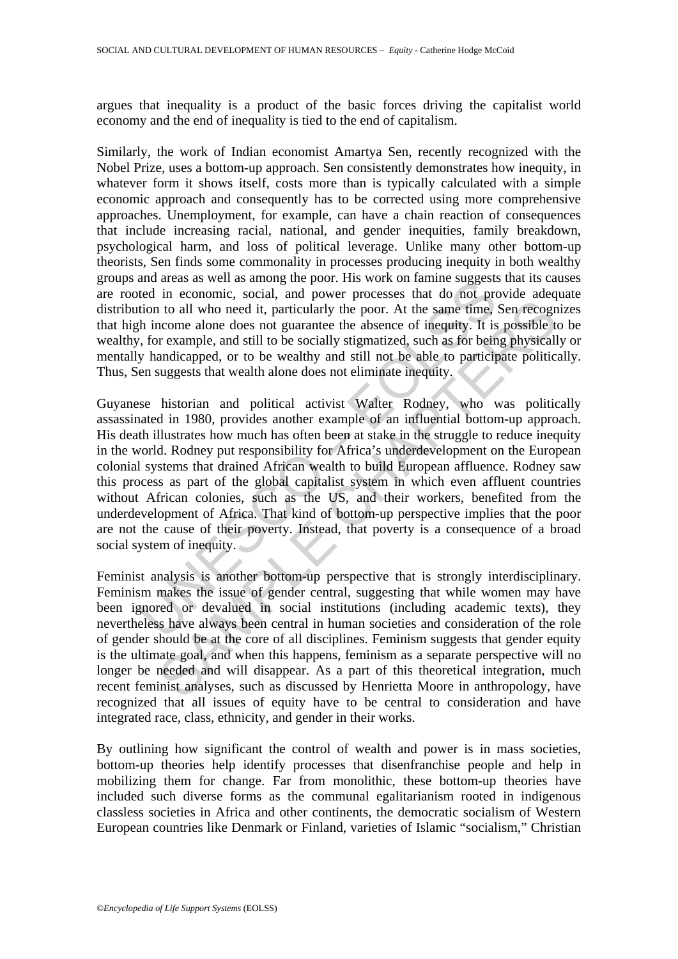argues that inequality is a product of the basic forces driving the capitalist world economy and the end of inequality is tied to the end of capitalism.

Similarly, the work of Indian economist Amartya Sen, recently recognized with the Nobel Prize, uses a bottom-up approach. Sen consistently demonstrates how inequity, in whatever form it shows itself, costs more than is typically calculated with a simple economic approach and consequently has to be corrected using more comprehensive approaches. Unemployment, for example, can have a chain reaction of consequences that include increasing racial, national, and gender inequities, family breakdown, psychological harm, and loss of political leverage. Unlike many other bottom-up theorists, Sen finds some commonality in processes producing inequity in both wealthy groups and areas as well as among the poor. His work on famine suggests that its causes are rooted in economic, social, and power processes that do not provide adequate distribution to all who need it, particularly the poor. At the same time, Sen recognizes that high income alone does not guarantee the absence of inequity. It is possible to be wealthy, for example, and still to be socially stigmatized, such as for being physically or mentally handicapped, or to be wealthy and still not be able to participate politically. Thus, Sen suggests that wealth alone does not eliminate inequity.

and areas as were as anong une poor. Ins work on an amazon and areas as were at in economic, social, and power processes that do not proton to all who need it, particularly the poor. At the same time, h income alone does n 1 to all who need it, particularly the poor. At the same time, Sen recogn<br>coome alone does not guarantee the absence of inequity. It is possible to<br>nocome alone does not guarantee the absence of inequity. It is possible to Guyanese historian and political activist Walter Rodney, who was politically assassinated in 1980, provides another example of an influential bottom-up approach. His death illustrates how much has often been at stake in the struggle to reduce inequity in the world. Rodney put responsibility for Africa's underdevelopment on the European colonial systems that drained African wealth to build European affluence. Rodney saw this process as part of the global capitalist system in which even affluent countries without African colonies, such as the US, and their workers, benefited from the underdevelopment of Africa. That kind of bottom-up perspective implies that the poor are not the cause of their poverty. Instead, that poverty is a consequence of a broad social system of inequity.

Feminist analysis is another bottom-up perspective that is strongly interdisciplinary. Feminism makes the issue of gender central, suggesting that while women may have been ignored or devalued in social institutions (including academic texts), they nevertheless have always been central in human societies and consideration of the role of gender should be at the core of all disciplines. Feminism suggests that gender equity is the ultimate goal, and when this happens, feminism as a separate perspective will no longer be needed and will disappear. As a part of this theoretical integration, much recent feminist analyses, such as discussed by Henrietta Moore in anthropology, have recognized that all issues of equity have to be central to consideration and have integrated race, class, ethnicity, and gender in their works.

By outlining how significant the control of wealth and power is in mass societies, bottom-up theories help identify processes that disenfranchise people and help in mobilizing them for change. Far from monolithic, these bottom-up theories have included such diverse forms as the communal egalitarianism rooted in indigenous classless societies in Africa and other continents, the democratic socialism of Western European countries like Denmark or Finland, varieties of Islamic "socialism," Christian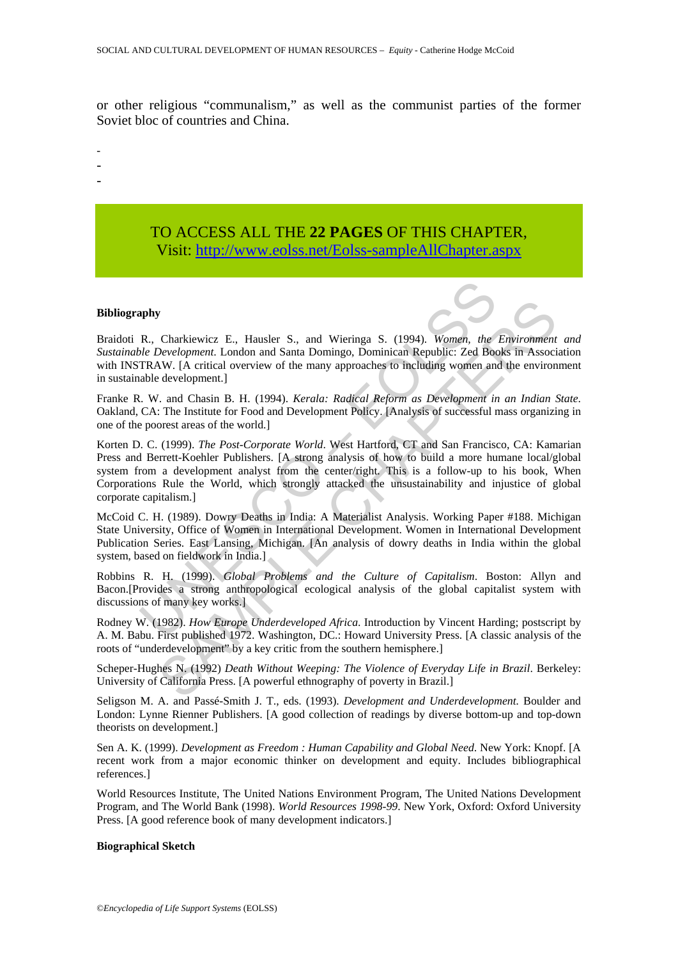or other religious "communalism," as well as the communist parties of the former Soviet bloc of countries and China.

-

- -
- -

## TO ACCESS ALL THE **22 PAGES** OF THIS CHAPTER, Visi[t: http://www.eolss.net/Eolss-sampleAllChapter.aspx](https://www.eolss.net/ebooklib/sc_cart.aspx?File=E1-11-08-02)

#### **Bibliography**

Braidoti R., Charkiewicz E., Hausler S., and Wieringa S. (1994). *Women, the Environment and Sustainable Development*. London and Santa Domingo, Dominican Republic: Zed Books in Association with INSTRAW. [A critical overview of the many approaches to including women and the environment in sustainable development.]

Franke R. W. and Chasin B. H. (1994). *Kerala: Radical Reform as Development in an Indian State*. Oakland, CA: The Institute for Food and Development Policy. [Analysis of successful mass organizing in one of the poorest areas of the world.]

**R.** Charkiewicz E., Hausler S., and Wieringa S. (1994). *Women, the*<br>*Dele Development.* London and Santa Domingo, Dominican Republic: Zed Boo<br>TRAW. [A critical overview of the many approaches to including women anable de **y**<br> **S**<br>
Charkiewicz E., Hausler S., and Wieringa S. (1994). *Women, the Environment*<br> *Development*. London and Santa Domingo, Dominican Republic: Zed Books in Associal<br>
Alcorition verview of the many approaches to incl Korten D. C. (1999). *The Post-Corporate World*. West Hartford, CT and San Francisco, CA: Kamarian Press and Berrett-Koehler Publishers. [A strong analysis of how to build a more humane local/global system from a development analyst from the center/right. This is a follow-up to his book, When Corporations Rule the World, which strongly attacked the unsustainability and injustice of global corporate capitalism.]

McCoid C. H. (1989). Dowry Deaths in India: A Materialist Analysis. Working Paper #188. Michigan State University, Office of Women in International Development. Women in International Development Publication Series. East Lansing, Michigan. [An analysis of dowry deaths in India within the global system, based on fieldwork in India.]

Robbins R. H. (1999). *Global Problems and the Culture of Capitalism*. Boston: Allyn and Bacon.[Provides a strong anthropological ecological analysis of the global capitalist system with discussions of many key works.]

Rodney W. (1982). *How Europe Underdeveloped Africa*. Introduction by Vincent Harding; postscript by A. M. Babu. First published 1972. Washington, DC.: Howard University Press. [A classic analysis of the roots of "underdevelopment" by a key critic from the southern hemisphere.]

Scheper-Hughes N. (1992) *Death Without Weeping: The Violence of Everyday Life in Brazil*. Berkeley: University of California Press. [A powerful ethnography of poverty in Brazil.]

Seligson M. A. and Passé-Smith J. T., eds. (1993). *Development and Underdevelopment.* Boulder and London: Lynne Rienner Publishers. [A good collection of readings by diverse bottom-up and top-down theorists on development.]

Sen A. K. (1999). *Development as Freedom : Human Capability and Global Need*. New York: Knopf. [A recent work from a major economic thinker on development and equity. Includes bibliographical references.]

World Resources Institute, The United Nations Environment Program, The United Nations Development Program, and The World Bank (1998). *World Resources 1998-99*. New York, Oxford: Oxford University Press. [A good reference book of many development indicators.]

#### **Biographical Sketch**